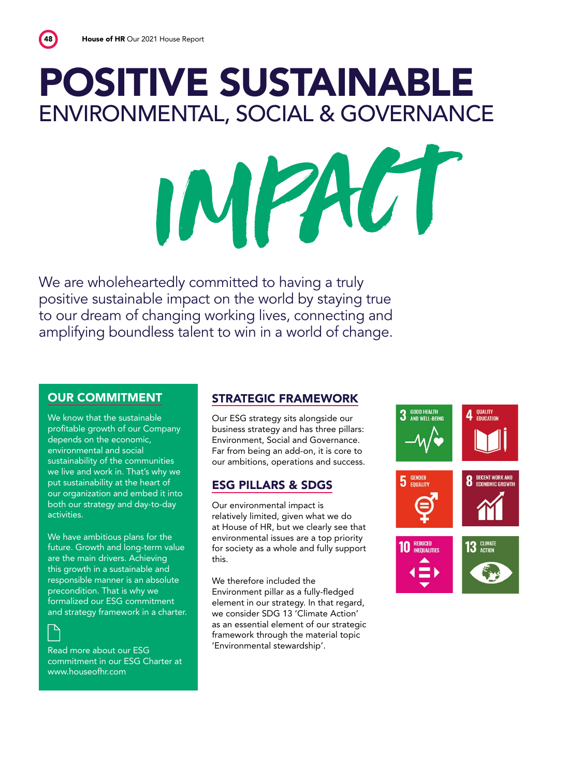### POSITIVE SUSTAINABLE ENVIRONMENTAL, SOCIAL & GOVERNANCE

IMPACT

We are wholeheartedly committed to having a truly positive sustainable impact on the world by staying true to our dream of changing working lives, connecting and amplifying boundless talent to win in a world of change.

#### OUR COMMITMENT

We know that the sustainable profitable growth of our Company depends on the economic, environmental and social sustainability of the communities we live and work in. That's why we put sustainability at the heart of our organization and embed it into both our strategy and day-to-day activities.

We have ambitious plans for the future. Growth and long-term value are the main drivers. Achieving this growth in a sustainable and responsible manner is an absolute precondition. That is why we formalized our ESG commitment and strategy framework in a charter.

 $\mathbb{P}$ 

Read more about our ESG commitment in our ESG Charter at www.houseofhr.com

#### STRATEGIC FRAMEWORK

Our ESG strategy sits alongside our business strategy and has three pillars: Environment, Social and Governance. Far from being an add-on, it is core to our ambitions, operations and success.

#### ESG PILLARS & SDGS

Our environmental impact is relatively limited, given what we do at House of HR, but we clearly see that environmental issues are a top priority for society as a whole and fully support this.

We therefore included the Environment pillar as a fully-fledged element in our strategy. In that regard, we consider SDG 13 'Climate Action' as an essential element of our strategic framework through the material topic 'Environmental stewardship'.

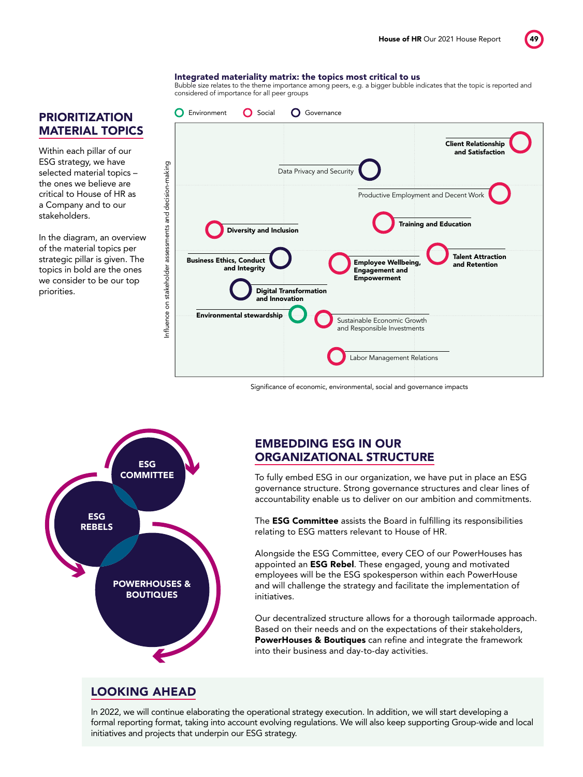#### Integrated materiality matrix: the topics most critical to us

Bubble size relates to the theme importance among peers, e.g. a bigger bubble indicates that the topic is reported and considered of importance for all peer groups



#### Significance of economic, environmental, social and governance impacts



#### EMBEDDING ESG IN OUR ORGANIZATIONAL STRUCTURE

To fully embed ESG in our organization, we have put in place an ESG governance structure. Strong governance structures and clear lines of accountability enable us to deliver on our ambition and commitments.

The **ESG Committee** assists the Board in fulfilling its responsibilities relating to ESG matters relevant to House of HR.

Alongside the ESG Committee, every CEO of our PowerHouses has appointed an **ESG Rebel**. These engaged, young and motivated employees will be the ESG spokesperson within each PowerHouse and will challenge the strategy and facilitate the implementation of initiatives.

Our decentralized structure allows for a thorough tailormade approach. Based on their needs and on the expectations of their stakeholders, PowerHouses & Boutiques can refine and integrate the framework into their business and day-to-day activities.

#### LOOKING AHEAD

In 2022, we will continue elaborating the operational strategy execution. In addition, we will start developing a formal reporting format, taking into account evolving regulations. We will also keep supporting Group-wide and local initiatives and projects that underpin our ESG strategy.

#### PRIORITIZATION MATERIAL TOPICS

Within each pillar of our ESG strategy, we have selected material topics – the ones we believe are critical to House of HR as a Company and to our stakeholders.

In the diagram, an overview of the material topics per strategic pillar is given. The topics in bold are the ones we consider to be our top priorities.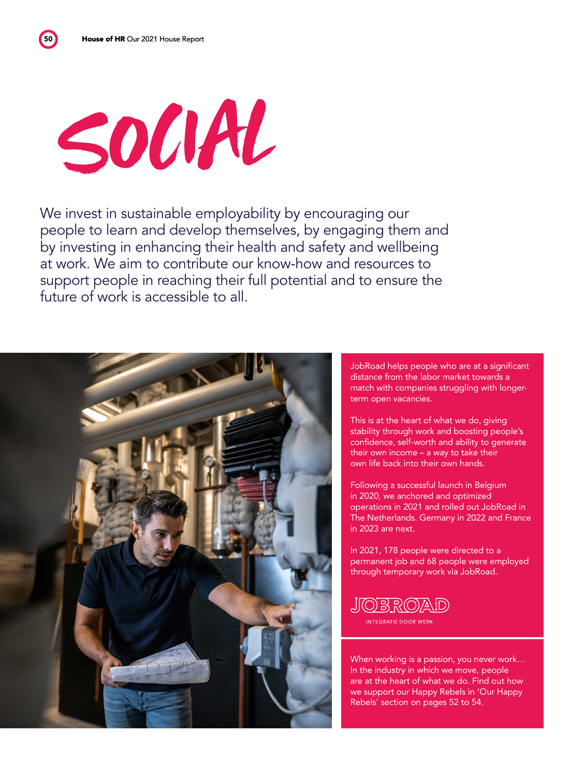50

## SOCIAL

We invest in sustainable employability by encouraging our people to learn and develop themselves, by engaging them and by investing in enhancing their health and safety and wellbeing at work. We aim to contribute our know-how and resources to support people in reaching their full potential and to ensure the future of work is accessible to all.



JobRoad helps people who are at a significant distance from the labor market towards a match with companies struggling with longer-

This is at the heart of what we do, giving stability through work and boosting people's confidence, self-worth and ability to generate their own income – a way to take their own life back into their own hands.

Following a successful launch in Belgium in 2020, we anchored and optimized operations in 2021 and rolled out JobRoad in The Netherlands. Germany in 2022 and France

In 2021, 178 people were directed to a permanent job and 68 people were employed through temporary work via JobRoad.

When working is a passion, you never work… In the industry in which we move, people are at the heart of what we do. Find out how we support our Happy Rebels in 'Our Happy Rebels' section on pages 52 to 54.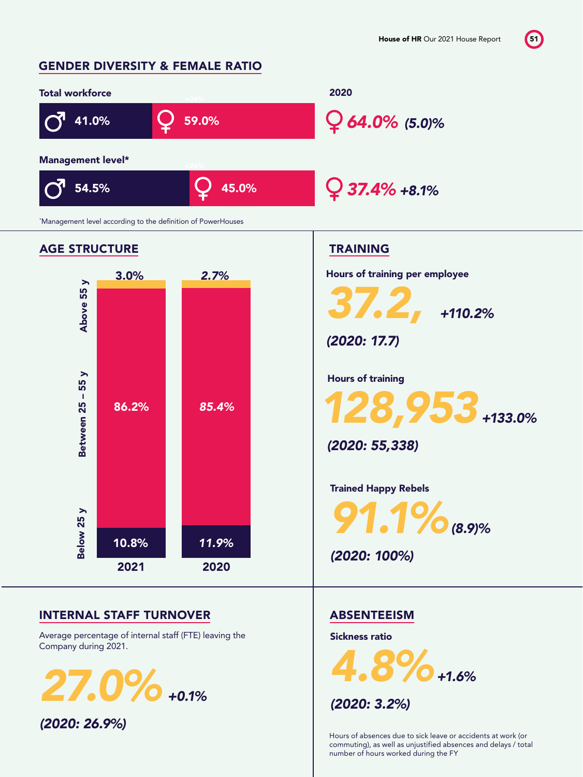#### GENDER DIVERSITY & FEMALE RATIO



Hours of absences due to sick leave or accidents at work (or commuting), as well as unjustified absences and delays / total number of hours worked during the FY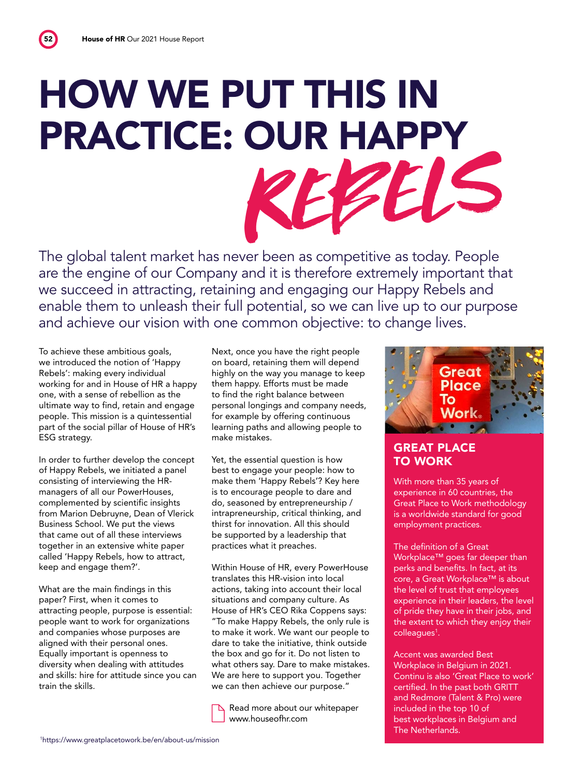## HOW WE PUT THIS IN PRACTICE: OUR HAPPY REBELS

The global talent market has never been as competitive as today. People are the engine of our Company and it is therefore extremely important that we succeed in attracting, retaining and engaging our Happy Rebels and enable them to unleash their full potential, so we can live up to our purpose and achieve our vision with one common objective: to change lives.

To achieve these ambitious goals, we introduced the notion of 'Happy Rebels': making every individual working for and in House of HR a happy one, with a sense of rebellion as the ultimate way to find, retain and engage people. This mission is a quintessential part of the social pillar of House of HR's ESG strategy.

In order to further develop the concept of Happy Rebels, we initiated a panel consisting of interviewing the HRmanagers of all our PowerHouses, complemented by scientific insights from Marion Debruyne, Dean of Vlerick Business School. We put the views that came out of all these interviews together in an extensive white paper called 'Happy Rebels, how to attract, keep and engage them?'.

What are the main findings in this paper? First, when it comes to attracting people, purpose is essential: people want to work for organizations and companies whose purposes are aligned with their personal ones. Equally important is openness to diversity when dealing with attitudes and skills: hire for attitude since you can train the skills.

Next, once you have the right people on board, retaining them will depend highly on the way you manage to keep them happy. Efforts must be made to find the right balance between personal longings and company needs, for example by offering continuous learning paths and allowing people to make mistakes.

Yet, the essential question is how best to engage your people: how to make them 'Happy Rebels'? Key here is to encourage people to dare and do, seasoned by entrepreneurship / intrapreneurship, critical thinking, and thirst for innovation. All this should be supported by a leadership that practices what it preaches.

Within House of HR, every PowerHouse translates this HR-vision into local actions, taking into account their local situations and company culture. As House of HR's CEO Rika Coppens says: "To make Happy Rebels, the only rule is to make it work. We want our people to dare to take the initiative, think outside the box and go for it. Do not listen to what others say. Dare to make mistakes. We are here to support you. Together we can then achieve our purpose."

 Read more about our whitepaper www.houseofhr.com



#### GREAT PLACE TO WORK

With more than 35 years of experience in 60 countries, the Great Place to Work methodology is a worldwide standard for good employment practices.

The definition of a Great Workplace™ goes far deeper than perks and benefits. In fact, at its core, a Great Workplace™ is about the level of trust that employees experience in their leaders, the level of pride they have in their jobs, and the extent to which they enjoy their colleagues<sup>1</sup>.

Accent was awarded Best Workplace in Belgium in 2021. Continu is also 'Great Place to work' certified. In the past both GRITT and Redmore (Talent & Pro) were included in the top 10 of best workplaces in Belgium and The Netherlands.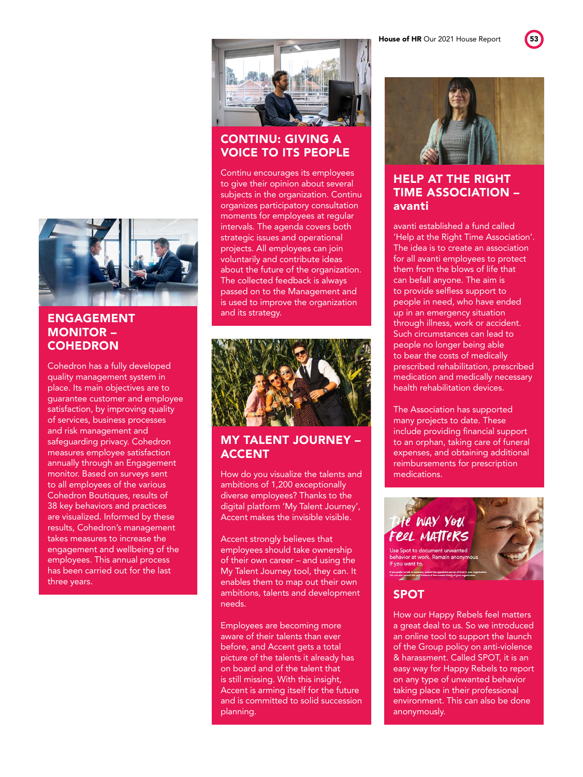House of HR Our 2021 House Report 53





#### ENGAGEMENT MONITOR – **COHEDRON**

Cohedron has a fully developed quality management system in place. Its main objectives are to guarantee customer and employee satisfaction, by improving quality of services, business processes and risk management and safeguarding privacy. Cohedron measures employee satisfaction annually through an Engagement monitor. Based on surveys sent to all employees of the various Cohedron Boutiques, results of 38 key behaviors and practices are visualized. Informed by these results, Cohedron's management takes measures to increase the engagement and wellbeing of the employees. This annual process has been carried out for the last three years.



#### CONTINU: GIVING A VOICE TO ITS PEOPLE

Continu encourages its employees to give their opinion about several subjects in the organization. Continu organizes participatory consultation moments for employees at regular intervals. The agenda covers both strategic issues and operational projects. All employees can join voluntarily and contribute ideas about the future of the organization. The collected feedback is always passed on to the Management and is used to improve the organization and its strategy.



#### MY TALENT JOURNEY – ACCENT

How do you visualize the talents and ambitions of 1,200 exceptionally diverse employees? Thanks to the digital platform 'My Talent Journey', Accent makes the invisible visible.

Accent strongly believes that employees should take ownership of their own career – and using the My Talent Journey tool, they can. It enables them to map out their own ambitions, talents and development needs.

Employees are becoming more aware of their talents than ever before, and Accent gets a total picture of the talents it already has on board and of the talent that is still missing. With this insight, Accent is arming itself for the future and is committed to solid succession planning.



#### HELP AT THE RIGHT TIME ASSOCIATION – avanti

avanti established a fund called 'Help at the Right Time Association'. The idea is to create an association for all avanti employees to protect them from the blows of life that can befall anyone. The aim is to provide selfless support to people in need, who have ended up in an emergency situation through illness, work or accident. Such circumstances can lead to people no longer being able to bear the costs of medically prescribed rehabilitation, prescribed medication and medically necessary health rehabilitation devices.

The Association has supported many projects to date. These include providing financial support to an orphan, taking care of funeral expenses, and obtaining additional reimbursements for prescription medications.



#### SPOT

How our Happy Rebels feel matters a great deal to us. So we introduced an online tool to support the launch of the Group policy on anti-violence & harassment. Called SPOT, it is an easy way for Happy Rebels to report on any type of unwanted behavior taking place in their professional environment. This can also be done anonymously.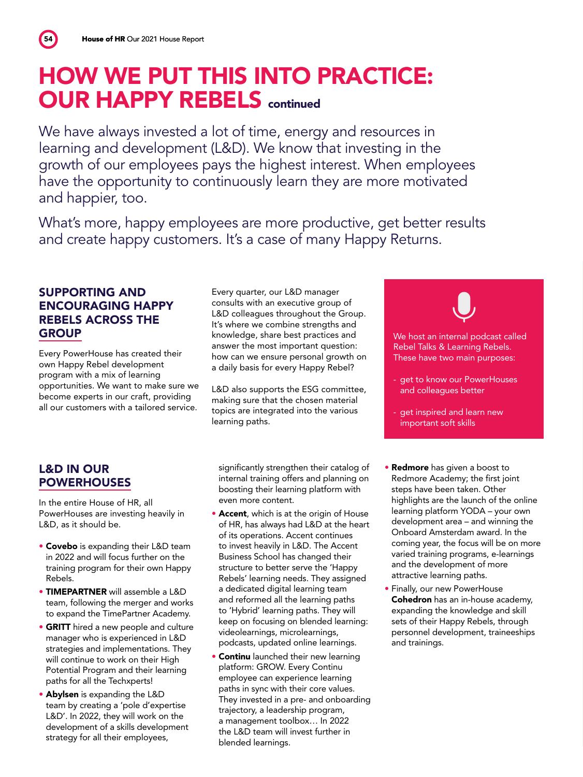54

#### HOW WE PUT THIS INTO PRACTICE: **OUR HAPPY REBELS continued**

We have always invested a lot of time, energy and resources in learning and development (L&D). We know that investing in the growth of our employees pays the highest interest. When employees have the opportunity to continuously learn they are more motivated and happier, too.

What's more, happy employees are more productive, get better results and create happy customers. It's a case of many Happy Returns.

#### SUPPORTING AND ENCOURAGING HAPPY REBELS ACROSS THE **GROUP**

Every PowerHouse has created their own Happy Rebel development program with a mix of learning opportunities. We want to make sure we become experts in our craft, providing all our customers with a tailored service.

Every quarter, our L&D manager consults with an executive group of L&D colleagues throughout the Group. It's where we combine strengths and knowledge, share best practices and answer the most important question: how can we ensure personal growth on a daily basis for every Happy Rebel?

L&D also supports the ESG committee, making sure that the chosen material topics are integrated into the various learning paths.

significantly strengthen their catalog of internal training offers and planning on boosting their learning platform with even more content.

- Accent, which is at the origin of House of HR, has always had L&D at the heart of its operations. Accent continues to invest heavily in L&D. The Accent Business School has changed their structure to better serve the 'Happy Rebels' learning needs. They assigned a dedicated digital learning team and reformed all the learning paths to 'Hybrid' learning paths. They will keep on focusing on blended learning: videolearnings, microlearnings, podcasts, updated online learnings.
- **Continu** launched their new learning platform: GROW. Every Continu employee can experience learning paths in sync with their core values. They invested in a pre- and onboarding trajectory, a leadership program, a management toolbox… In 2022 the L&D team will invest further in blended learnings.
- Redmore has given a boost to Redmore Academy; the first joint steps have been taken. Other highlights are the launch of the online learning platform YODA – your own development area – and winning the Onboard Amsterdam award. In the coming year, the focus will be on more varied training programs, e-learnings and the development of more attractive learning paths.

We host an internal podcast called Rebel Talks & Learning Rebels. These have two main purposes:

- get to know our PowerHouses and colleagues better

- get inspired and learn new important soft skills

• Finally, our new PowerHouse Cohedron has an in-house academy, expanding the knowledge and skill sets of their Happy Rebels, through personnel development, traineeships and trainings.

#### L&D IN OUR **POWERHOUSES**

In the entire House of HR, all PowerHouses are investing heavily in L&D, as it should be.

- Covebo is expanding their L&D team in 2022 and will focus further on the training program for their own Happy Rebels.
- TIMEPARTNER will assemble a L&D team, following the merger and works to expand the TimePartner Academy.
- GRITT hired a new people and culture manager who is experienced in L&D strategies and implementations. They will continue to work on their High Potential Program and their learning paths for all the Techxperts!
- Abylsen is expanding the L&D team by creating a 'pole d'expertise L&D'. In 2022, they will work on the development of a skills development strategy for all their employees,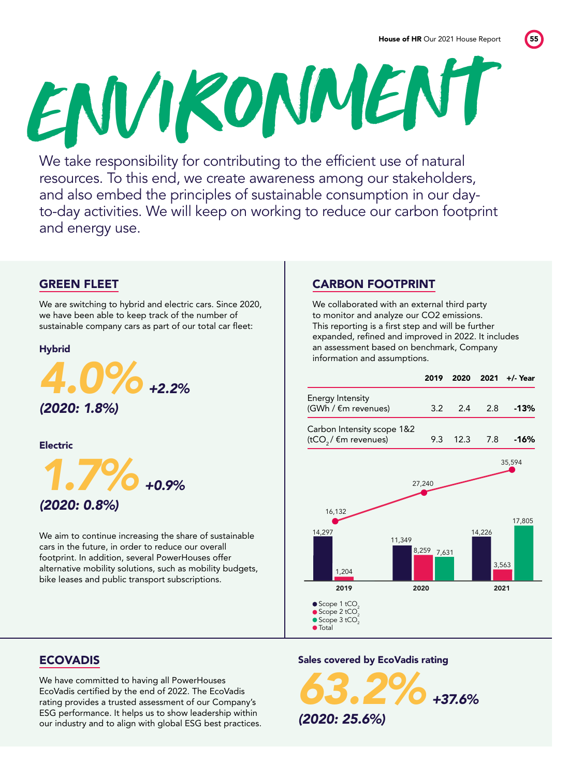ENVIRONMENT We take responsibility for contributing to the efficient use of natural

resources. To this end, we create awareness among our stakeholders, and also embed the principles of sustainable consumption in our dayto-day activities. We will keep on working to reduce our carbon footprint and energy use.

#### GREEN FLEET

We are switching to hybrid and electric cars. Since 2020, we have been able to keep track of the number of sustainable company cars as part of our total car fleet:

#### Hybrid



Electric

*1.7%+0.9% (2020: 0.8%)* 

We aim to continue increasing the share of sustainable cars in the future, in order to reduce our overall footprint. In addition, several PowerHouses offer alternative mobility solutions, such as mobility budgets, bike leases and public transport subscriptions.

#### CARBON FOOTPRINT

We collaborated with an external third party to monitor and analyze our CO2 emissions. This reporting is a first step and will be further expanded, refined and improved in 2022. It includes an assessment based on benchmark, Company information and assumptions.



#### ECOVADIS

We have committed to having all PowerHouses EcoVadis certified by the end of 2022. The EcoVadis rating provides a trusted assessment of our Company's ESG performance. It helps us to show leadership within our industry and to align with global ESG best practices.

#### Sales covered by EcoVadis rating

*63.2%+37.6% (2020: 25.6%)*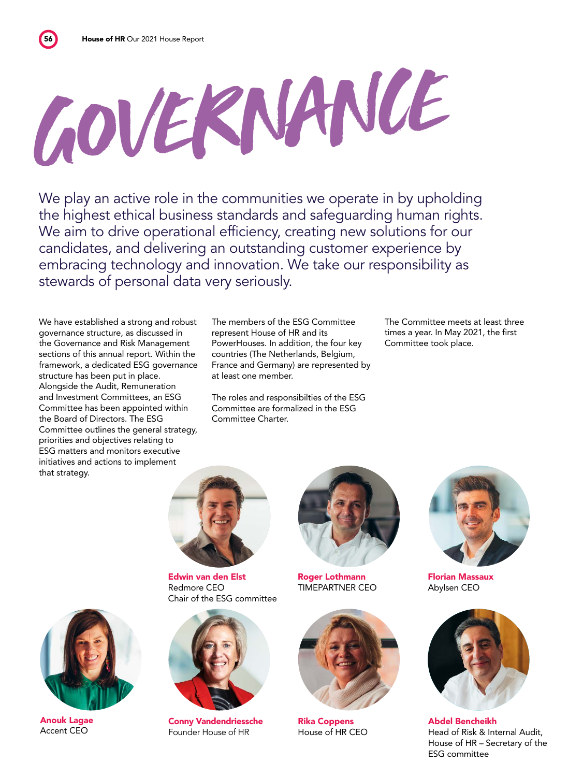# GOVERNANCE

We play an active role in the communities we operate in by upholding the highest ethical business standards and safeguarding human rights. We aim to drive operational efficiency, creating new solutions for our candidates, and delivering an outstanding customer experience by embracing technology and innovation. We take our responsibility as stewards of personal data very seriously.

We have established a strong and robust governance structure, as discussed in the Governance and Risk Management sections of this annual report. Within the framework, a dedicated ESG governance structure has been put in place. Alongside the Audit, Remuneration and Investment Committees, an ESG Committee has been appointed within the Board of Directors. The ESG Committee outlines the general strategy, priorities and objectives relating to ESG matters and monitors executive initiatives and actions to implement that strategy.

The members of the ESG Committee represent House of HR and its PowerHouses. In addition, the four key countries (The Netherlands, Belgium, France and Germany) are represented by at least one member.

The roles and responsibilties of the ESG Committee are formalized in the ESG Committee Charter.

The Committee meets at least three times a year. In May 2021, the first Committee took place.



Edwin van den Elst Redmore CEO Chair of the ESG committee



Conny Vandendriessche Founder House of HR



Roger Lothmann TIMEPARTNER CEO



Rika Coppens House of HR CEO



Florian Massaux Abylsen CEO



Abdel Bencheikh Head of Risk & Internal Audit, House of HR – Secretary of the ESG committee



Anouk Lagae Accent CEO